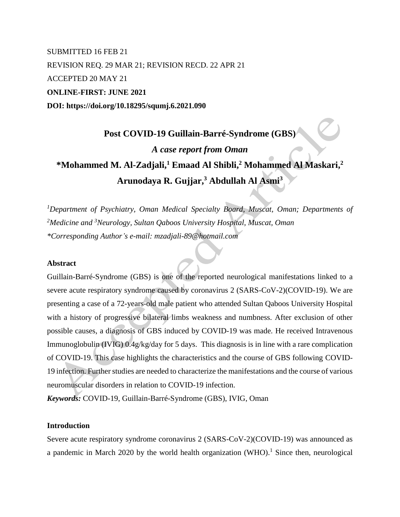## SUBMITTED 16 FEB 21 REVISION REQ. 29 MAR 21; REVISION RECD. 22 APR 21 ACCEPTED 20 MAY 21 **ONLINE-FIRST: JUNE 2021 DOI: https://doi.org/10.18295/squmj.6.2021.090**

# **Post COVID-19 Guillain-Barré-Syndrome (GBS)** *A case report from Oman* **\*Mohammed M. Al-Zadjali, <sup>1</sup> Emaad Al Shibli, <sup>2</sup> Mohammed Al Maskari, 2 Arunodaya R. Gujjar, <sup>3</sup> Abdullah Al Asmi<sup>3</sup>**

*<sup>1</sup>Department of Psychiatry, Oman Medical Specialty Board, Muscat, Oman; Departments of <sup>2</sup>Medicine and <sup>3</sup>Neurology, Sultan Qaboos University Hospital, Muscat, Oman \*Corresponding Author's e-mail: mzadjali-89@hotmail.com*

#### **Abstract**

Guillain-Barré-Syndrome (GBS) is one of the reported neurological manifestations linked to a severe acute respiratory syndrome caused by coronavirus 2 (SARS-CoV-2)(COVID-19). We are presenting a case of a 72-years-old male patient who attended Sultan Qaboos University Hospital with a history of progressive bilateral limbs weakness and numbness. After exclusion of other possible causes, a diagnosis of GBS induced by COVID-19 was made. He received Intravenous Immunoglobulin (IVIG) 0.4g/kg/day for 5 days. This diagnosis is in line with a rare complication of COVID-19. This case highlights the characteristics and the course of GBS following COVID-19 infection. Further studies are needed to characterize the manifestations and the course of various neuromuscular disorders in relation to COVID-19 infection.

*Keywords:* COVID-19, Guillain-Barré-Syndrome (GBS), IVIG, Oman

#### **Introduction**

Severe acute respiratory syndrome coronavirus 2 (SARS-CoV-2)(COVID-19) was announced as a pandemic in March 2020 by the world health organization  $(WHO)$ <sup>1</sup>. Since then, neurological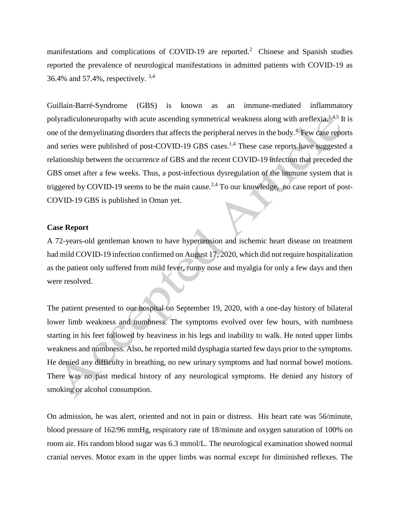manifestations and complications of COVID-19 are reported.<sup>2</sup> Chinese and Spanish studies reported the prevalence of neurological manifestations in admitted patients with COVID-19 as 36.4% and 57.4%, respectively. 3,4

Guillain-Barré-Syndrome (GBS) is known as an immune-mediated inflammatory polyradiculoneuropathy with acute ascending symmetrical weakness along with areflexia.1,4,5 It is one of the demyelinating disorders that affects the peripheral nerves in the body.<sup>4</sup> Few case reports and series were published of post-COVID-19 GBS cases.<sup>1,4</sup> These case reports have suggested a relationship between the occurrence of GBS and the recent COVID-19 infection that preceded the GBS onset after a few weeks. Thus, a post-infectious dysregulation of the immune system that is triggered by COVID-19 seems to be the main cause.<sup>2,4</sup> To our knowledge, no case report of post-COVID-19 GBS is published in Oman yet.

#### **Case Report**

A 72-years-old gentleman known to have hypertension and ischemic heart disease on treatment had mild COVID-19 infection confirmed on August 17, 2020, which did not require hospitalization as the patient only suffered from mild fever, runny nose and myalgia for only a few days and then were resolved.

The patient presented to our hospital on September 19, 2020, with a one-day history of bilateral lower limb weakness and numbness. The symptoms evolved over few hours, with numbness starting in his feet followed by heaviness in his legs and inability to walk. He noted upper limbs weakness and numbness. Also, he reported mild dysphagia started few days prior to the symptoms. He denied any difficulty in breathing, no new urinary symptoms and had normal bowel motions. There was no past medical history of any neurological symptoms. He denied any history of smoking or alcohol consumption.

On admission, he was alert, oriented and not in pain or distress. His heart rate was 56/minute, blood pressure of 162/96 mmHg, respiratory rate of 18/minute and oxygen saturation of 100% on room air. His random blood sugar was 6.3 mmol/L. The neurological examination showed normal cranial nerves. Motor exam in the upper limbs was normal except for diminished reflexes. The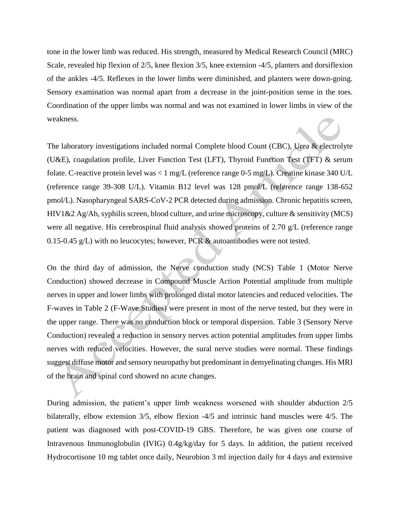tone in the lower limb was reduced. His strength, measured by Medical Research Council (MRC) Scale, revealed hip flexion of 2/5, knee flexion 3/5, knee extension -4/5, planters and dorsiflexion of the ankles -4/5. Reflexes in the lower limbs were diminished, and planters were down-going. Sensory examination was normal apart from a decrease in the joint-position sense in the toes. Coordination of the upper limbs was normal and was not examined in lower limbs in view of the weakness.

The laboratory investigations included normal Complete blood Count (CBC), Urea & electrolyte (U&E), coagulation profile, Liver Function Test (LFT), Thyroid Function Test (TFT) & serum folate. C-reactive protein level was < 1 mg/L (reference range 0-5 mg/L). Creatine kinase 340 U/L (reference range 39-308 U/L). Vitamin B12 level was 128 pmol/L (reference range 138-652 pmol/L). Nasopharyngeal SARS-CoV-2 PCR detected during admission. Chronic hepatitis screen, HIV1&2 Ag/Ab, syphilis screen, blood culture, and urine microscopy, culture & sensitivity (MCS) were all negative. His cerebrospinal fluid analysis showed proteins of 2.70 g/L (reference range 0.15-0.45 g/L) with no leucocytes; however, PCR & autoantibodies were not tested.

On the third day of admission, the Nerve conduction study (NCS) Table 1 (Motor Nerve Conduction) showed decrease in Compound Muscle Action Potential amplitude from multiple nerves in upper and lower limbs with prolonged distal motor latencies and reduced velocities. The F-waves in Table 2 (F-Wave Studies) were present in most of the nerve tested, but they were in the upper range. There was no conduction block or temporal dispersion. Table 3 (Sensory Nerve Conduction) revealed a reduction in sensory nerves action potential amplitudes from upper limbs nerves with reduced velocities. However, the sural nerve studies were normal. These findings suggest diffuse motor and sensory neuropathy but predominant in demyelinating changes. His MRI of the brain and spinal cord showed no acute changes.

During admission, the patient's upper limb weakness worsened with shoulder abduction 2/5 bilaterally, elbow extension 3/5, elbow flexion -4/5 and intrinsic hand muscles were 4/5. The patient was diagnosed with post-COVID-19 GBS. Therefore, he was given one course of Intravenous Immunoglobulin (IVIG) 0.4g/kg/day for 5 days. In addition, the patient received Hydrocortisone 10 mg tablet once daily, Neurobion 3 ml injection daily for 4 days and extensive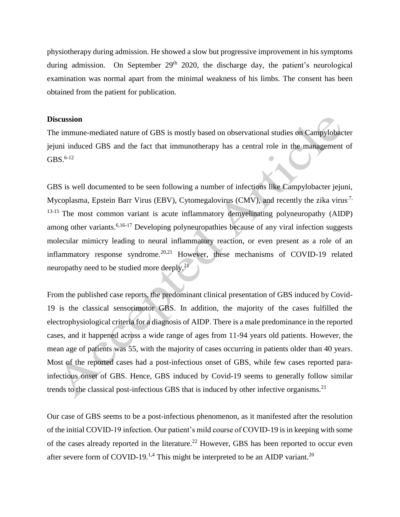physiotherapy during admission. He showed a slow but progressive improvement in his symptoms during admission. On September 29<sup>th</sup> 2020, the discharge day, the patient's neurological examination was normal apart from the minimal weakness of his limbs. The consent has been obtained from the patient for publication.

#### **Discussion**

The immune-mediated nature of GBS is mostly based on observational studies on Campylobacter jejuni induced GBS and the fact that immunotherapy has a central role in the management of  $GBS.6-12$ 

GBS is well documented to be seen following a number of infections like Campylobacter jejuni, Mycoplasma, Epstein Barr Virus (EBV), Cytomegalovirus (CMV), and recently the zika virus<sup>7,</sup> <sup>13-15</sup> The most common variant is acute inflammatory demyelinating polyneuropathy (AIDP) among other variants.<sup>6,16-17</sup> Developing polyneuropathies because of any viral infection suggests molecular mimicry leading to neural inflammatory reaction, or even present as a role of an inflammatory response syndrome.<sup>20,21</sup> However, these mechanisms of COVID-19 related neuropathy need to be studied more deeply.<sup>21</sup>

From the published case reports, the predominant clinical presentation of GBS induced by Covid-19 is the classical sensorimotor GBS. In addition, the majority of the cases fulfilled the electrophysiological criteria for a diagnosis of AIDP. There is a male predominance in the reported cases, and it happened across a wide range of ages from 11-94 years old patients. However, the mean age of patients was 55, with the majority of cases occurring in patients older than 40 years. Most of the reported cases had a post-infectious onset of GBS, while few cases reported parainfectious onset of GBS. Hence, GBS induced by Covid-19 seems to generally follow similar trends to the classical post-infectious GBS that is induced by other infective organisms.<sup>21</sup>

Our case of GBS seems to be a post-infectious phenomenon, as it manifested after the resolution of the initial COVID-19 infection. Our patient's mild course of COVID-19 is in keeping with some of the cases already reported in the literature.<sup>22</sup> However, GBS has been reported to occur even after severe form of COVID-19.<sup>1,4</sup> This might be interpreted to be an AIDP variant.<sup>20</sup>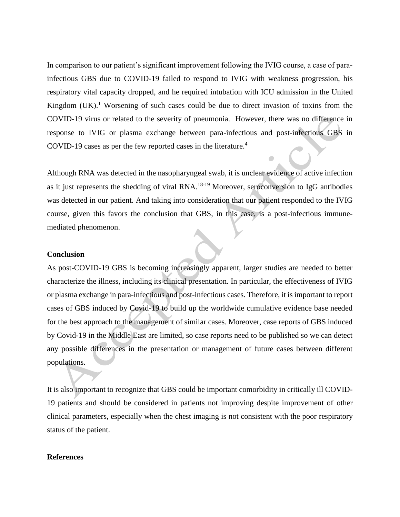In comparison to our patient's significant improvement following the IVIG course, a case of parainfectious GBS due to COVID-19 failed to respond to IVIG with weakness progression, his respiratory vital capacity dropped, and he required intubation with ICU admission in the United Kingdom (UK).<sup>1</sup> Worsening of such cases could be due to direct invasion of toxins from the COVID-19 virus or related to the severity of pneumonia. However, there was no difference in response to IVIG or plasma exchange between para-infectious and post-infectious GBS in COVID-19 cases as per the few reported cases in the literature.<sup>4</sup>

Although RNA was detected in the nasopharyngeal swab, it is unclear evidence of active infection as it just represents the shedding of viral RNA.18-19 Moreover, seroconversion to IgG antibodies was detected in our patient. And taking into consideration that our patient responded to the IVIG course, given this favors the conclusion that GBS, in this case, is a post-infectious immunemediated phenomenon.

#### **Conclusion**

As post-COVID-19 GBS is becoming increasingly apparent, larger studies are needed to better characterize the illness, including its clinical presentation. In particular, the effectiveness of IVIG or plasma exchange in para-infectious and post-infectious cases. Therefore, it is important to report cases of GBS induced by Covid-19 to build up the worldwide cumulative evidence base needed for the best approach to the management of similar cases. Moreover, case reports of GBS induced by Covid-19 in the Middle East are limited, so case reports need to be published so we can detect any possible differences in the presentation or management of future cases between different populations.

It is also important to recognize that GBS could be important comorbidity in critically ill COVID-19 patients and should be considered in patients not improving despite improvement of other clinical parameters, especially when the chest imaging is not consistent with the poor respiratory status of the patient.

#### **References**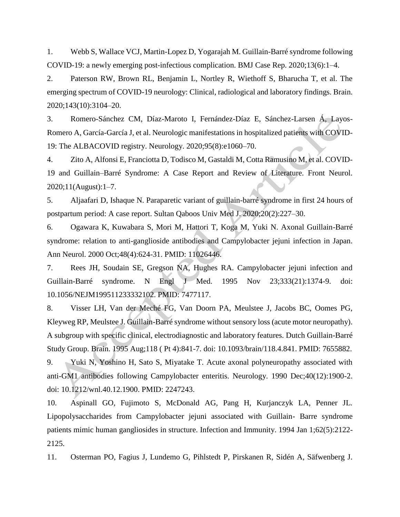1. Webb S, Wallace VCJ, Martin-Lopez D, Yogarajah M. Guillain-Barré syndrome following COVID-19: a newly emerging post-infectious complication. BMJ Case Rep. 2020;13(6):1–4.

2. Paterson RW, Brown RL, Benjamin L, Nortley R, Wiethoff S, Bharucha T, et al. The emerging spectrum of COVID-19 neurology: Clinical, radiological and laboratory findings. Brain. 2020;143(10):3104–20.

3. Romero-Sánchez CM, Díaz-Maroto I, Fernández-Díaz E, Sánchez-Larsen Á, Layos-Romero A, García-García J, et al. Neurologic manifestations in hospitalized patients with COVID-19: The ALBACOVID registry. Neurology. 2020;95(8):e1060–70.

4. Zito A, Alfonsi E, Franciotta D, Todisco M, Gastaldi M, Cotta Ramusino M, et al. COVID-19 and Guillain–Barré Syndrome: A Case Report and Review of Literature. Front Neurol. 2020;11(August):1–7.

5. Aljaafari D, Ishaque N. Paraparetic variant of guillain-barré syndrome in first 24 hours of postpartum period: A case report. Sultan Qaboos Univ Med J. 2020;20(2):227–30.

6. Ogawara K, Kuwabara S, Mori M, Hattori T, Koga M, Yuki N. Axonal Guillain-Barré syndrome: relation to anti-ganglioside antibodies and Campylobacter jejuni infection in Japan. Ann Neurol. 2000 Oct;48(4):624-31. PMID: 11026446.

7. Rees JH, Soudain SE, Gregson NA, Hughes RA. Campylobacter jejuni infection and Guillain-Barré syndrome. N Engl J Med. 1995 Nov 23;333(21):1374-9. doi: 10.1056/NEJM199511233332102. PMID: 7477117.

8. Visser LH, Van der Meché FG, Van Doorn PA, Meulstee J, Jacobs BC, Oomes PG, Kleyweg RP, Meulstee J. Guillain-Barré syndrome without sensory loss (acute motor neuropathy). A subgroup with specific clinical, electrodiagnostic and laboratory features. Dutch Guillain-Barré Study Group. Brain. 1995 Aug;118 ( Pt 4):841-7. doi: 10.1093/brain/118.4.841. PMID: 7655882.

9. Yuki N, Yoshino H, Sato S, Miyatake T. Acute axonal polyneuropathy associated with anti-GM1 antibodies following Campylobacter enteritis. Neurology. 1990 Dec;40(12):1900-2. doi: 10.1212/wnl.40.12.1900. PMID: 2247243.

10. Aspinall GO, Fujimoto S, McDonald AG, Pang H, Kurjanczyk LA, Penner JL. Lipopolysaccharides from Campylobacter jejuni associated with Guillain- Barre syndrome patients mimic human gangliosides in structure. Infection and Immunity. 1994 Jan 1;62(5):2122- 2125.

11. Osterman PO, Fagius J, Lundemo G, Pihlstedt P, Pirskanen R, Sidén A, Säfwenberg J.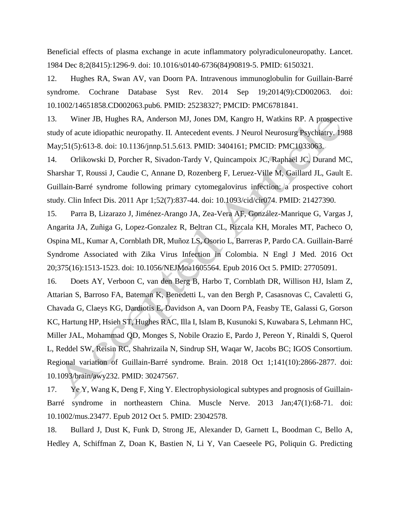Beneficial effects of plasma exchange in acute inflammatory polyradiculoneuropathy. Lancet. 1984 Dec 8;2(8415):1296-9. doi: 10.1016/s0140-6736(84)90819-5. PMID: 6150321.

12. Hughes RA, Swan AV, van Doorn PA. Intravenous immunoglobulin for Guillain-Barré syndrome. Cochrane Database Syst Rev. 2014 Sep 19;2014(9):CD002063. doi: 10.1002/14651858.CD002063.pub6. PMID: 25238327; PMCID: PMC6781841.

13. Winer JB, Hughes RA, Anderson MJ, Jones DM, Kangro H, Watkins RP. A prospective study of acute idiopathic neuropathy. II. Antecedent events. J Neurol Neurosurg Psychiatry. 1988 May;51(5):613-8. doi: 10.1136/jnnp.51.5.613. PMID: 3404161; PMCID: PMC1033063.

14. Orlikowski D, Porcher R, Sivadon-Tardy V, Quincampoix JC, Raphaël JC, Durand MC, Sharshar T, Roussi J, Caudie C, Annane D, Rozenberg F, Leruez-Ville M, Gaillard JL, Gault E. Guillain-Barré syndrome following primary cytomegalovirus infection: a prospective cohort study. Clin Infect Dis. 2011 Apr 1;52(7):837-44. doi: 10.1093/cid/cir074. PMID: 21427390.

15. Parra B, Lizarazo J, Jiménez-Arango JA, Zea-Vera AF, González-Manrique G, Vargas J, Angarita JA, Zuñiga G, Lopez-Gonzalez R, Beltran CL, Rizcala KH, Morales MT, Pacheco O, Ospina ML, Kumar A, Cornblath DR, Muñoz LS, Osorio L, Barreras P, Pardo CA. Guillain-Barré Syndrome Associated with Zika Virus Infection in Colombia. N Engl J Med. 2016 Oct 20;375(16):1513-1523. doi: 10.1056/NEJMoa1605564. Epub 2016 Oct 5. PMID: 27705091.

16. Doets AY, Verboon C, van den Berg B, Harbo T, Cornblath DR, Willison HJ, Islam Z, Attarian S, Barroso FA, Bateman K, Benedetti L, van den Bergh P, Casasnovas C, Cavaletti G, Chavada G, Claeys KG, Dardiotis E, Davidson A, van Doorn PA, Feasby TE, Galassi G, Gorson KC, Hartung HP, Hsieh ST, Hughes RAC, Illa I, Islam B, Kusunoki S, Kuwabara S, Lehmann HC, Miller JAL, Mohammad QD, Monges S, Nobile Orazio E, Pardo J, Pereon Y, Rinaldi S, Querol L, Reddel SW, Reisin RC, Shahrizaila N, Sindrup SH, Waqar W, Jacobs BC; IGOS Consortium. Regional variation of Guillain-Barré syndrome. Brain. 2018 Oct 1;141(10):2866-2877. doi: 10.1093/brain/awy232. PMID: 30247567.

17. Ye Y, Wang K, Deng F, Xing Y. Electrophysiological subtypes and prognosis of Guillain-Barré syndrome in northeastern China. Muscle Nerve. 2013 Jan;47(1):68-71. doi: 10.1002/mus.23477. Epub 2012 Oct 5. PMID: 23042578.

18. Bullard J, Dust K, Funk D, Strong JE, Alexander D, Garnett L, Boodman C, Bello A, Hedley A, Schiffman Z, Doan K, Bastien N, Li Y, Van Caeseele PG, Poliquin G. Predicting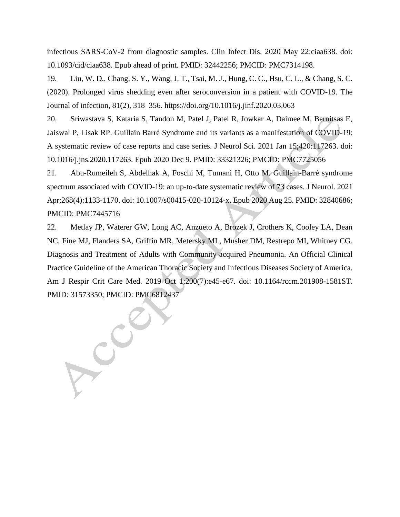infectious SARS-CoV-2 from diagnostic samples. Clin Infect Dis. 2020 May 22:ciaa638. doi: 10.1093/cid/ciaa638. Epub ahead of print. PMID: 32442256; PMCID: PMC7314198.

19. Liu, W. D., Chang, S. Y., Wang, J. T., Tsai, M. J., Hung, C. C., Hsu, C. L., & Chang, S. C. (2020). Prolonged virus shedding even after seroconversion in a patient with COVID-19. The Journal of infection, 81(2), 318–356. https://doi.org/10.1016/j.jinf.2020.03.063

20. Sriwastava S, Kataria S, Tandon M, Patel J, Patel R, Jowkar A, Daimee M, Bernitsas E, Jaiswal P, Lisak RP. Guillain Barré Syndrome and its variants as a manifestation of COVID-19: A systematic review of case reports and case series. J Neurol Sci. 2021 Jan 15;420:117263. doi: 10.1016/j.jns.2020.117263. Epub 2020 Dec 9. PMID: 33321326; PMCID: PMC7725056

21. Abu-Rumeileh S, Abdelhak A, Foschi M, Tumani H, Otto M. Guillain-Barré syndrome spectrum associated with COVID-19: an up-to-date systematic review of 73 cases. J Neurol. 2021 Apr;268(4):1133-1170. doi: 10.1007/s00415-020-10124-x. Epub 2020 Aug 25. PMID: 32840686; PMCID: PMC7445716

22. Metlay JP, Waterer GW, Long AC, Anzueto A, Brozek J, Crothers K, Cooley LA, Dean NC, Fine MJ, Flanders SA, Griffin MR, Metersky ML, Musher DM, Restrepo MI, Whitney CG. Diagnosis and Treatment of Adults with Community-acquired Pneumonia. An Official Clinical Practice Guideline of the American Thoracic Society and Infectious Diseases Society of America. Am J Respir Crit Care Med. 2019 Oct 1;200(7):e45-e67. doi: 10.1164/rccm.201908-1581ST.

PMID: 31573350; PMCID: PMC6812437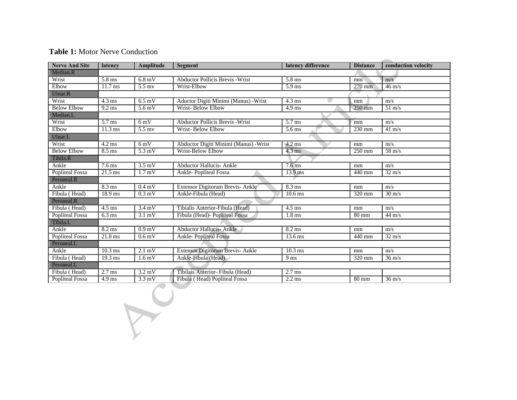## **Table 1: Motor Nerve Conduction**

 $\chi$ 

| <b>Nerve And Site</b>  | latency           | Amplitude          | latency difference<br>Segment                     |                        | <b>Distance</b>     | conduction velocity |  |  |  |
|------------------------|-------------------|--------------------|---------------------------------------------------|------------------------|---------------------|---------------------|--|--|--|
| Median.R               |                   |                    |                                                   |                        |                     |                     |  |  |  |
| Wrist                  | 5.8 ms            | $6.8$ mV           | <b>Abductor Pollicis Brevis - Wrist</b><br>5.8 ms |                        | mm                  | m/s                 |  |  |  |
| Elbow                  | $11.7 \text{ ms}$ | $5.5$ my           | Wrist-Elbow                                       | $5.9$ ms               | $270$ mm            | $46 \text{ m/s}$    |  |  |  |
| Ulnar.R                |                   |                    |                                                   |                        |                     |                     |  |  |  |
| Wrist                  | $4.3 \text{ ms}$  | $6.5 \text{ mV}$   | Aductor Digiti Minimi (Manus) - Wrist             | $4.3 \text{ ms}$<br>c. | mm                  | m/s                 |  |  |  |
| <b>Below Elbow</b>     | $9.2 \text{ ms}$  | 5.6 <sub>m</sub> V | Wrist-Below Elbow<br>$4.9$ ms                     |                        | $250$ mm            | $51 \text{ m/s}$    |  |  |  |
| Median.L               |                   |                    |                                                   |                        |                     |                     |  |  |  |
| Wrist                  | $5.7 \text{ ms}$  | $6 \,\mathrm{mV}$  | <b>Abductor Pollicis Brevis - Wrist</b>           | $5.7$ ms               | mm                  | m/s                 |  |  |  |
| Elbow                  | $11.3 \text{ ms}$ | $5.5$ my           | Wrist-Below Elbow                                 | 5.6 ms                 | 230 mm              | $41 \text{ m/s}$    |  |  |  |
| Ulnar.L                |                   |                    |                                                   |                        |                     |                     |  |  |  |
| Wrist                  | $4.2 \text{ ms}$  | $6 \text{ mV}$     | Abductor Digiti Minimi (Manus) - Wrist            | $4.2 \text{ ms}$       | mm                  | m/s                 |  |  |  |
| <b>Below Elbow</b>     | $8.5 \text{ ms}$  | $5.3 \text{ mV}$   | Wrist-Below Elbow                                 | $4.3 \text{ ms}$       | $\overline{250}$ mm | $58 \text{ m/s}$    |  |  |  |
| Tibila.R               |                   |                    |                                                   |                        |                     |                     |  |  |  |
| Ankle                  | $7.6 \text{ ms}$  | $3.5 \text{ mV}$   | <b>Abductor Hallucis-Ankle</b>                    | $7.6 \text{ ms}$       | mm                  | m/s                 |  |  |  |
| <b>Popliteal Fossa</b> | $21.5$ ms         | 1.7 <sub>m</sub> V | Ankle-Popliteal Fossa                             | $13.9$ ms              | 440 mm              | $32 \text{ m/s}$    |  |  |  |
| Peroneal.R             |                   |                    |                                                   |                        |                     |                     |  |  |  |
| Ankle                  | $8.3 \text{ ms}$  | $0.4 \text{ mV}$   | Extensor Digitorum Brevis-Ankle                   | $8.3 \text{ ms}$       | mm                  | m/s                 |  |  |  |
| Fibula (Head)          | 18.9 ms           | $0.3 \text{ mV}$   | Ankle-Fibula (Head)                               | $10.6 \text{ ms}$      | $\overline{320}$ mm | $30 \text{ m/s}$    |  |  |  |
| Peroneal.R             |                   |                    |                                                   |                        |                     |                     |  |  |  |
| Fibula (Head)          | $4.5 \text{ ms}$  | $3.4 \text{ mV}$   | Tibialis Anterior-Fibula (Head)                   | $4.5$ ms               | mm                  | m/s                 |  |  |  |
| Popliteal Fossa        | $6.3 \text{ ms}$  | $3.1 \text{ mV}$   | Fibula (Head)- Popliteal Fossa                    | $1.8$ ms               | $80 \text{ mm}$     | $44 \text{ m/s}$    |  |  |  |
| Tibila.L               |                   |                    |                                                   |                        |                     |                     |  |  |  |
| Ankle                  | $8.2 \text{ ms}$  | 0.9 <sub>m</sub> V | <b>Abductor Hallucis-Ankle</b>                    | $8.2 \text{ ms}$       | mm                  | m/s                 |  |  |  |
| <b>Popliteal Fossa</b> | $21.8$ ms         | 0.6 <sub>m</sub> V | <b>Ankle-Popliteal Fossa</b>                      | $13.6 \text{ ms}$      | $\overline{440}$ mm | $32 \text{ m/s}$    |  |  |  |
| Peroneal.L             |                   |                    |                                                   |                        |                     |                     |  |  |  |
| Ankle                  | $10.3$ ms         | $2.1 \text{ mV}$   | Extensor Digitorum Brevis-Ankle                   | $10.3 \text{ ms}$      | mm                  | m/s                 |  |  |  |
| Fibula (Head)          | $19.3 \text{ ms}$ | $1.6 \text{ mV}$   | Ankle-Fibula (Head)                               | 9 <sub>ms</sub>        | 320 mm              | $36 \text{ m/s}$    |  |  |  |
| Peroneal.L             |                   |                    |                                                   |                        |                     |                     |  |  |  |
| Fibula (Head)          | $2.7$ ms          | $3.2 \text{ mV}$   | Tibilais Anterior- Fibula (Head)                  | $2.7$ ms               |                     |                     |  |  |  |
| <b>Popliteal Fossa</b> | $4.9$ ms          | $3.3 \text{ mV}$   | Fibula (Head) Popliteal Fossa                     | $2.2$ ms               | $80 \text{ mm}$     | $36 \text{ m/s}$    |  |  |  |